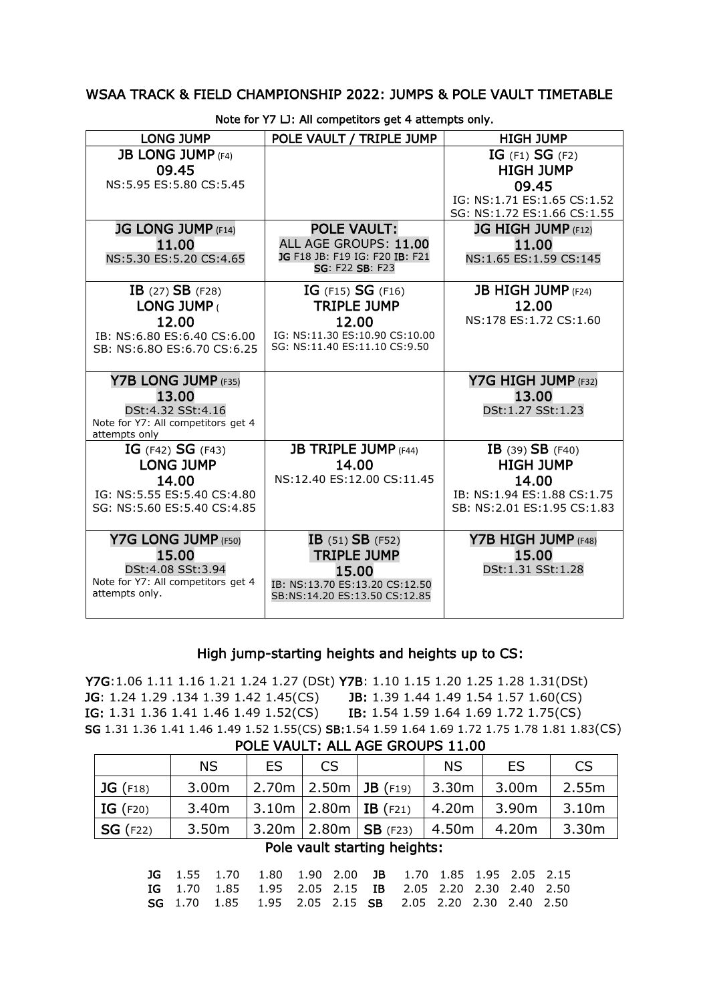### WSAA TRACK & FIELD CHAMPIONSHIP 2022: JUMPS & POLE VAULT TIMETABLE

| <b>LONG JUMP</b>                                        | POLE VAULT / TRIPLE JUMP                                        | <b>HIGH JUMP</b>                |
|---------------------------------------------------------|-----------------------------------------------------------------|---------------------------------|
| <b>JB LONG JUMP (F4)</b>                                |                                                                 | IG $(F1)$ SG $(F2)$             |
| 09.45                                                   |                                                                 | <b>HIGH JUMP</b>                |
| NS:5.95 ES:5.80 CS:5.45                                 |                                                                 | 09.45                           |
|                                                         |                                                                 | IG: NS:1.71 ES:1.65 CS:1.52     |
|                                                         | <b>POLE VAULT:</b>                                              | SG: NS:1.72 ES:1.66 CS:1.55     |
| <b>JG LONG JUMP (F14)</b>                               | ALL AGE GROUPS: 11.00                                           | <b>JG HIGH JUMP (F12)</b>       |
| 11.00<br>NS:5.30 ES:5.20 CS:4.65                        | JG F18 JB: F19 IG: F20 IB: F21                                  | 11.00<br>NS:1.65 ES:1.59 CS:145 |
|                                                         | SG: F22 SB: F23                                                 |                                 |
| IB $(27)$ SB $(F28)$                                    | IG $(F15)$ SG $(F16)$                                           | <b>JB HIGH JUMP</b> (F24)       |
| LONG JUMP (                                             | <b>TRIPLE JUMP</b>                                              | 12.00                           |
| 12.00                                                   | 12.00                                                           | NS:178 ES:1.72 CS:1.60          |
| IB: NS:6.80 ES:6.40 CS:6.00                             | IG: NS:11.30 ES:10.90 CS:10.00                                  |                                 |
| SB: NS:6.80 ES:6.70 CS:6.25                             | SG: NS:11.40 ES:11.10 CS:9.50                                   |                                 |
|                                                         |                                                                 |                                 |
| Y7B LONG JUMP (F35)                                     |                                                                 | Y7G HIGH JUMP (F32)             |
| 13.00                                                   |                                                                 | 13.00                           |
| DSt:4.32 SSt:4.16<br>Note for Y7: All competitors get 4 |                                                                 | DSt:1.27 SSt:1.23               |
| attempts only                                           |                                                                 |                                 |
| IG $(F42)$ SG $(F43)$                                   | <b>JB TRIPLE JUMP (F44)</b>                                     | IB $(39)$ SB $(F40)$            |
| <b>LONG JUMP</b>                                        | 14.00                                                           | <b>HIGH JUMP</b>                |
| 14.00                                                   | NS:12.40 ES:12.00 CS:11.45                                      | 14.00                           |
| IG: NS: 5.55 ES: 5.40 CS: 4.80                          |                                                                 | IB: NS:1.94 ES:1.88 CS:1.75     |
| SG: NS:5.60 ES:5.40 CS:4.85                             |                                                                 | SB: NS: 2.01 ES: 1.95 CS: 1.83  |
|                                                         |                                                                 |                                 |
| Y7G LONG JUMP (F50)                                     | $IB$ (51) $SB$ (F52)                                            | Y7B HIGH JUMP (F48)             |
| 15.00                                                   | <b>TRIPLE JUMP</b>                                              | 15.00                           |
| DSt:4.08 SSt:3.94<br>Note for Y7: All competitors get 4 | 15.00                                                           | DSt:1.31 SSt:1.28               |
| attempts only.                                          | IB: NS:13.70 ES:13.20 CS:12.50<br>SB:NS:14.20 ES:13.50 CS:12.85 |                                 |
|                                                         |                                                                 |                                 |

Note for Y7 LJ: All competitors get 4 attempts only.

## High jump-starting heights and heights up to CS:

Y7G:1.06 1.11 1.16 1.21 1.24 1.27 (DSt) Y7B: 1.10 1.15 1.20 1.25 1.28 1.31(DSt) JG: 1.24 1.29 .134 1.39 1.42 1.45(CS) JB: 1.39 1.44 1.49 1.54 1.57 1.60(CS) IG: 1.31 1.36 1.41 1.46 1.49 1.52(CS) IB: 1.54 1.59 1.64 1.69 1.72 1.75(CS) SG 1.31 1.36 1.41 1.46 1.49 1.52 1.55(CS) SB:1.54 1.59 1.64 1.69 1.72 1.75 1.78 1.81 1.83(CS)

#### POLE VAULT: ALL AGE GROUPS 11.00

|                  | <b>NS</b>         | <b>ES</b> | CS |                                            | <b>NS</b> | ES | <b>CS</b>         |
|------------------|-------------------|-----------|----|--------------------------------------------|-----------|----|-------------------|
| $\vert$ JG (F18) | 3.00m             |           |    | 2.70m   2.50m   JB (F19)   3.30m   3.00m   |           |    | 2.55m             |
| $\mid$ IG (F20)  | 3.40m             |           |    | 3.10m   2.80m   IB (F21)   4.20m   3.90m   |           |    | 3.10m             |
| $\mid$ SG (F22)  | 3.50 <sub>m</sub> |           |    | $3.20m$   2.80m   SB (F23)   4.50m   4.20m |           |    | 3.30 <sub>m</sub> |

# Pole vault starting heights:

|  | <b>JG</b> 1.55 1.70 1.80 1.90 2.00 <b>JB</b> 1.70 1.85 1.95 2.05 2.15 |  |  |  |  |
|--|-----------------------------------------------------------------------|--|--|--|--|
|  | <b>IG</b> 1.70 1.85 1.95 2.05 2.15 <b>IB</b> 2.05 2.20 2.30 2.40 2.50 |  |  |  |  |
|  | <b>SG</b> 1.70 1.85 1.95 2.05 2.15 <b>SB</b> 2.05 2.20 2.30 2.40 2.50 |  |  |  |  |